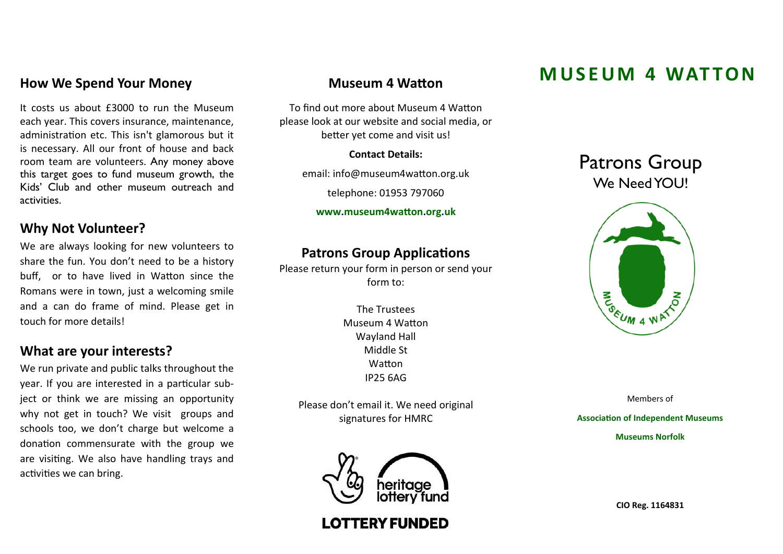# **How We Spend Your Money**

It costs us about £3000 to run the Museum each year. This covers insurance, maintenance, administration etc. This isn't glamorous but it is necessary. All our front of house and back room team are volunteers. Any money above this target goes to fund museum growth, the Kids' Club and other museum outreach and activities.

# **Why Not Volunteer?**

We are always looking for new volunteers to share the fun. You don't need to be a history buff, or to have lived in Watton since the Romans were in town, just a welcoming smile and a can do frame of mind. Please get in touch for more details!

## **What are your interests?**

We run private and public talks throughout the year. If you are interested in a particular subject or think we are missing an opportunity why not get in touch? We visit groups and schools too, we don't charge but welcome a donation commensurate with the group we are visiting. We also have handling trays and activities we can bring.

To find out more about Museum 4 Watton please look at our website and social media, or better yet come and visit us!

**Contact Details:**

email: info@museum4watton.org.uk

telephone: 01953 797060

**www.museum4watton.org.uk**

# **Patrons Group Applications**

Please return your form in person or send your form to:

> The Trustees Museum 4 Watton Wayland Hall Middle St **Watton** IP25 6AG

Please don't email it. We need original signatures for HMRC



**LOTTERY FUNDED** 

# **M U S E U M 4 WAT TO N Museum 4 Watton**

# Patrons Group We Need YOU!



Members of

**Association of Independent Museums**

**Museums Norfolk**

**CIO Reg. 1164831**